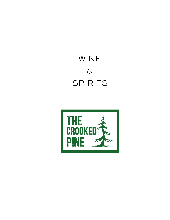# WINE  $\delta$ SPIRITS

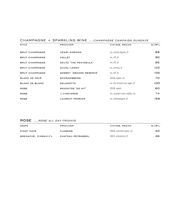#### CHAMPAGNE + SPARKLING WINE ... CHAMPAGNE CAMPAIGN SUNDAYS

| <b>STYLE</b>          | PRODUCER                | VINTAGE, REGION              | GL/BTL |
|-----------------------|-------------------------|------------------------------|--------|
| <b>BRUT CHAMPAGNE</b> | <b>HENRI DOSNON</b>     | nv, avirey lignes, fr        | 88     |
| <b>BRUT CHAMPAGNE</b> | <b>COLLET</b>           | nv, AŸ, fr                   | 90     |
| <b>BRUT CHAMPAGNE</b> | DEUTZ 'THE PENINSULA'   | $nv$ , $A\ddot{Y}$ , fr      | 95     |
| <b>BRUT CHAMPAGNE</b> | DUVAL-LEROY             | nv, vertus, fr               | 102    |
| <b>BRUT CHAMPAGNE</b> | GOSSET 'GRANDE RESERVE' | nv, AŸ, fr                   | 105    |
| <b>BLANC DE NOIR</b>  | <b>SCHRAMSBERG</b>      | 2018, пара, са               | 70.    |
| BLANC DE BLANC        | <b>DELAMOTTE</b>        | nv, les misnel-sur-oger, fr  | 100    |
| <b>ROSE</b>           | RAVENTOS 'DE NIT'       | 2018, spain                  | 60     |
| <b>ROSE</b>           | J VINEYARDS             | nv, russian river valley, ca | 74     |
| <b>ROSE</b>           | LAURENT PERRIER         | nv, champagne, fr            | 168    |

#### ROSE ... ROSE ALL DAY FRIDAYS

| GRAPE               | PRODUCER          | VINTAGE, REGION         | GL/BTL |
|---------------------|-------------------|-------------------------|--------|
| <b>PINOT NOIR</b>   | <b>FLOWERS</b>    | 2020, central coast, ca | 40.    |
| GRENACHE, CINSAULT+ | CHATEAU PEYRASSOL | 2021, provence, fr      | 46.    |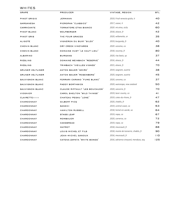#### **WHITES**

| GRAPE                   | PRODUCER                       | VINTAGE, REGION                       | <b>BTL</b> |
|-------------------------|--------------------------------|---------------------------------------|------------|
| PINOT GRIGIO            | JERMANN                        | 2019, Friuli-venezia-giulia, it       | 40         |
| GARGANEGA               | PIEROPAN 'CLASSICO'            | 2017, soave, it                       | 42         |
| CARRICANTE              | TORNATORE ETNA BIANCO          | 2020. mt.etna, sicily                 | 60         |
| PINOT BLANC             | <b>WOLFBERGER</b>              | 2018, alsace, fr                      | 42         |
| PINOT GRIS              | THE FOUR GRACES                | 2020, willamette, or                  | 35.        |
| <b>ALIGOTE</b>          | VIGNERON DU BUXY 'SILEX'       | 2019, burgundy, fr                    | 40         |
| CHENIN BLANC            | DRY CREEK VINEYARDS            | 2020. sonoma, ca                      | 38         |
| CHENIN BLANC            | DOMAINE HUET 'LE HAUT-LIEU'    | 2018, vouvray, fr                     | 80         |
| <b>ALBARINO</b>         | <b>BURGANS</b>                 | 2020, rias baxis, sp                  | 37         |
| RIESLING                | DOMAINE WEINBACH 'RESERVE'     | 2016, alsace, fr                      | 44         |
| RIESLING                | TRIMBACH 'VIEILLES VIGNES'     | 2015, alsace, fr                      | 70         |
| <b>GRUNER VELTLINER</b> | ANTON BAUER 'GMIRK'            | 2019, wagram, austria                 | 38         |
| <b>GRUNER VELTLINER</b> | ANTON BAUER 'ROSENBERG'        | 2020, wagram, austria                 | 45         |
| SAUVIGNON BLANC         | FERRARI CARANO 'FUME BLANC'    | 2020, sonoma, ca                      | 37         |
| SAUVIGNON BLANC         | PADDY BORTHWICK                | 2020, wairarapa, new zealand          | 50         |
| SAUVIGNON BLANC         | CLAUDE RIFFAULT 'LES BOUCAUDS' | 2020, sancerre, fr                    | 70         |
| <b>VIOGNIER</b>         | CAROL SHELTON 'WILD THINGS'    | 2019, lacer county, ca                | 41         |
| $CLAIRETTE++$           | CHATEAU PEGAU 'LONE'           | 2019, cotes-du-rhone, fr              | 47         |
| CHARDONNAY              | GILBERT PICQ                   | 2020, chablis, fr                     | 62         |
| CHARDONNAY              | SANDHI                         | 2019, central coast, ca               | 63         |
| CHARDONNAY              | HAMILTON RUSSELL               | 2018, hemel-en-aarde, sa              | 64         |
| CHARDONNAY              | STAGS LEAP                     | 2019, пара, са                        | 67         |
| CHARDONNAY              | <b>ROMBAUER</b>                | 2020, carneros, ca                    | 72         |
| CHARDONNAY              | CAKEBREAD                      | 2019, пара, са                        | 79         |
| CHARDONNAY              | <b>MATROT</b>                  | 2018, meursault, fr                   | 88         |
| CHARDONNAY              | LOUIS MICHEL ET FILS           | 2018, monte de tonnerre, chablis, fr  | 90         |
| CHARDONNAY              | JEAN-MICHEL GANOUX             | 2016, meursault, fr                   | 110        |
| CHARDONNAY              | CATENA ZAPATA 'WHITE BONES'    | 2016, adrianna vineyard, mendoza, arg | 125        |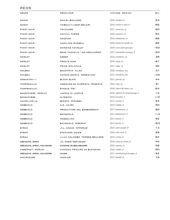#### **REDS**

| <b>GRAPE</b>              | PRODUCER                       | VINTAGE, REGION                  | <b>BTL</b> |
|---------------------------|--------------------------------|----------------------------------|------------|
| GAMAY                     | DANIEL BOULAND                 | 2019, morgon, fr                 | 63         |
| GAMAY                     | THIBAULT LIGER-BELAIR          | 2016, moulin a vent, fr          | 65         |
| PINOT NOIR                | TRUCHARD                       | 2017, carneros, ca               | 60         |
| PINOT NOIR                | ANTHILL FARMS                  | 2019, sonoma, ca                 | 64         |
| PINOT NOIR                | <b>CRISTOM</b>                 | 2019, willamette, or             | 68         |
| PINOT NOIR                | HAMILTON RUSSELL               | 2020, hemel-en-aarde, sa         | 85         |
| PINOT NOIR                | DOMAINE FAIVELEY               | 2018, nuits-saint-georges        | 15C        |
| PINOT NOIR                | RENE CACHEUX 'LES ARGILLERES'  | 2017, chambolle-musigny, fr      | 162        |
| MERLOT                    | <b>ESSER</b>                   | 2016, monterey, ca               | 38         |
| MERLOT                    | FROG'S LEAP                    | 2018, пара, са                   | 87         |
| MERLOT                    | PRIDE MOUNTAIN                 | 2017, пара, са                   | 95         |
| MALBEC                    | SALENTEIN 'KILKA'              | 2018, mendoza, arg               | 37         |
| MALBEC                    | CATENA ZAPATA 'ARGENTINO'      | 2015, mendoza, arg               | 125        |
| GARNATXA + +              | <b>BLACK SLATE</b>             | 2017, priorat, sp                | 44         |
| <b>TEMPRANILLO</b>        | MARQUES DE MURRIETA 'RESERVA'  | 2016, rioja, sp                  | 61         |
| <b>TEMPRANILLO</b>        | PINGUS 'PSI'                   | 2018, ribera del duero, sp       | 64         |
| SANGIOVESE, MERLOT        | LAMOLE DI LAMOLE               | 2016, vigneto di campoluongo, it | 72         |
| <b>SANGIOVESE</b>         | <b>ALTESINO</b>                | 2016, brunello, it               | 110        |
| VALPOLICELLA              | ZENATO 'RIPASSA'               | 2017, veneto, it                 | 54         |
| <b>NEBBIOLO</b>           | G.D. VAJRA                     | 2019, langhe, it                 | 50         |
| <b>NEBBIOLO</b>           | PRODUTTORI DEL BARBARESCO      | 2017, barbaresco, it             | 80         |
| <b>NEBBIOLO</b>           | <b>BATASIOLO</b>               | 2017, barbaresco, it             | 113        |
| <b>NEBBIOLO</b>           | MASSOLINO                      | 2017, barolo, it                 | 92         |
| <b>NEBBIOLO</b>           | BATASIOLO 'RISERVA'            | 2012, barolo, it                 | 163        |
| <b>SYRAH</b>              | J.L. CHAVE 'OFFERUS'           | 2019, saint-joseph, fr           | 73         |
| <b>SYRAH</b>              | STEPHANE OGIER                 | 2016, cote-rotie, fr             | 99         |
| SYRAH                     | J.LUC COLOMBO 'TERRES BRULEES' | 2014, cornas, fr                 | 84         |
| GRENACHE, SYRAH           | J.L. chave 'mon couer'         | 2019, cotes du rhone, fr         | 44         |
| GRENACHE, SYRAH, MOUVEDRE | DOMAINE DE BEAURENARD          | 2019, rasteau, fr                | 58         |
| CABERNET, MERLOT          | CHATEAU PRIEURE DE BLAIGNON    | 2016, medoc, fr                  | 60         |
| GRENACHE, SYRAH, MOUVEDRE | <b>GUIGAL</b>                  | 2017, chateauneuf-du-pape, fr    | 92         |
| MOURVEDRE                 | <b>TEMPIER</b>                 | 2017, bandol, fr                 | 79         |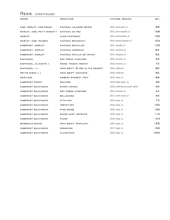# REDS...CONTINUED

| GRAPE                                     | PRODUCER                         | VINTAGE, REGION                  | <b>BTL</b> |
|-------------------------------------------|----------------------------------|----------------------------------|------------|
|                                           |                                  |                                  | 99         |
| CAB, MERLOT, CAB FRANC                    | CHATEAU LALANDE-BORIE            | 2016, saint-julien, fr           |            |
| MERLOT, CAB, PETIT VERDOT+ CHATEAU DE PEZ |                                  | 2015, saint-estephe, fr          | IOB        |
| MERLOT                                    | <b>CLOS CANTENAC</b>             | 2015, saint-emilion, fr          | 150        |
| MERLOT, CAB, MALBEC                       | CHATEAU BOUSCAUT                 | 2016, pessac-leognan, fr         | 103        |
| CABERNET, MERLOT                          | CHATEAU BATAILLEY                | 2014, pauillac, fr               | 125        |
| CABERNET, MERLOT                          | CHATEAU GARRAUD                  | 2012, pomerol, fr                | 62         |
| CABERNET, MERLOT                          | CHATEAU MOULIN DE TRICOT         | 2017, margaux, fr                | 92         |
| ZINFANDEL                                 | DRY CREEK VINEYARD               | 2019, sonoma, ca                 | 40         |
| ZINFANDEL, ALICANTE +                     | RIDGE 'PAGANI RANCH'             | 2018, sonoma, ca                 | 72         |
| $ZINFANDEL + +$                           | ORIN SWIFT '8 YRS IN THE DESERT' | 2020, california                 | 80         |
| PETITE SIRAH ++                           | ORIN SWIFT 'MACHETE'             | 2018, california                 | 92         |
| MERITAGE                                  | ROBERT SYNSKEY 'POV'             | 2016, пара, са                   | 88         |
| CABERNET FRANC                            | <b>RAVINES</b>                   | 2019, finger lakes, ny           | 48         |
| CABERNET SAUVIGNON                        | STARK-CONDE                      | 2018, stellenbosch, south africa | 40         |
| CABERNET SAUVIGNON                        | DRY CREEK VINEYARD               | 2018, sonoma, ca                 | 44         |
| CABERNET SAUVIGNON                        | <b>BELLACOSA</b>                 | 2017, north coast, ca            | 45         |
| CABERNET SAUVIGNON                        | $K$ $H + K$ $N$                  | 2019, пара, са                   | 73         |
| CABERNET SAUVIGNON                        | <b>TREFETHEN</b>                 | 2018, пара, са                   | 102        |
| CABERNET SAUVIGNON                        | PINE RIDGE                       | 2018, пара, са                   | 105        |
| CABERNET SAUVIGNON                        | STAGS LEAP 'ARTEMIS'             | 2018, пара, са                   | 114        |
| CABERNET SAUVIGNON                        | <b>FAUST</b>                     | 2018, пара, са                   | 123        |
| BORDEAUX BLEND                            | ORIN SWIFT 'PAPILLON'            | 2020, пара, са                   | 125        |
| CABERNET SAUVIGNON                        | PARADIGM                         | 2017, пара, са                   | 150        |
| CABERNET SAUVIGNON                        | PLUMPJACK                        | 2018, пара, са                   | 200        |